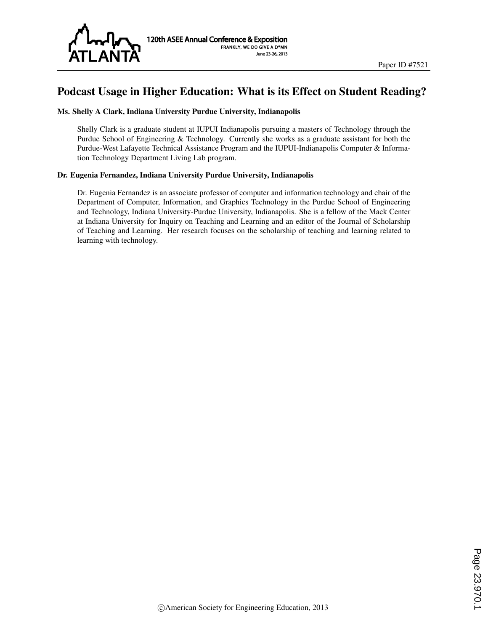

# Podcast Usage in Higher Education: What is its Effect on Student Reading?

#### Ms. Shelly A Clark, Indiana University Purdue University, Indianapolis

Shelly Clark is a graduate student at IUPUI Indianapolis pursuing a masters of Technology through the Purdue School of Engineering & Technology. Currently she works as a graduate assistant for both the Purdue-West Lafayette Technical Assistance Program and the IUPUI-Indianapolis Computer & Information Technology Department Living Lab program.

#### Dr. Eugenia Fernandez, Indiana University Purdue University, Indianapolis

Dr. Eugenia Fernandez is an associate professor of computer and information technology and chair of the Department of Computer, Information, and Graphics Technology in the Purdue School of Engineering and Technology, Indiana University-Purdue University, Indianapolis. She is a fellow of the Mack Center at Indiana University for Inquiry on Teaching and Learning and an editor of the Journal of Scholarship of Teaching and Learning. Her research focuses on the scholarship of teaching and learning related to learning with technology.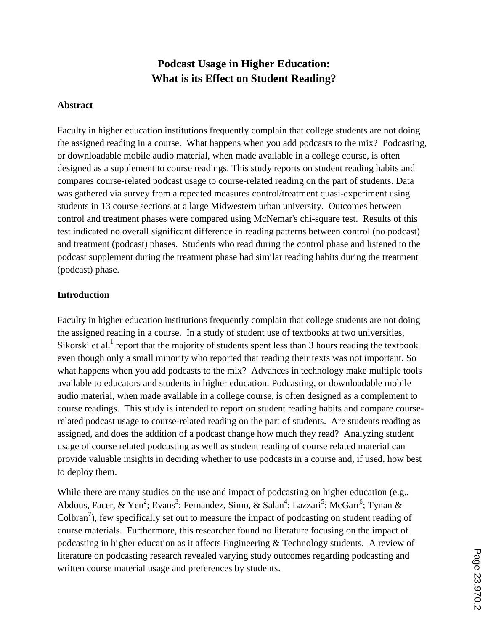# **Podcast Usage in Higher Education: What is its Effect on Student Reading?**

#### **Abstract**

Faculty in higher education institutions frequently complain that college students are not doing the assigned reading in a course. What happens when you add podcasts to the mix? Podcasting, or downloadable mobile audio material, when made available in a college course, is often designed as a supplement to course readings. This study reports on student reading habits and compares course-related podcast usage to course-related reading on the part of students. Data was gathered via survey from a repeated measures control/treatment quasi-experiment using students in 13 course sections at a large Midwestern urban university. Outcomes between control and treatment phases were compared using McNemar's chi-square test. Results of this test indicated no overall significant difference in reading patterns between control (no podcast) and treatment (podcast) phases. Students who read during the control phase and listened to the podcast supplement during the treatment phase had similar reading habits during the treatment (podcast) phase.

#### **Introduction**

Faculty in higher education institutions frequently complain that college students are not doing the assigned reading in a course. In a study of student use of textbooks at two universities, Sikorski et al.<sup>1</sup> report that the majority of students spent less than 3 hours reading the textbook even though only a small minority who reported that reading their texts was not important. So what happens when you add podcasts to the mix? Advances in technology make multiple tools available to educators and students in higher education. Podcasting, or downloadable mobile audio material, when made available in a college course, is often designed as a complement to course readings. This study is intended to report on student reading habits and compare courserelated podcast usage to course-related reading on the part of students. Are students reading as assigned, and does the addition of a podcast change how much they read? Analyzing student usage of course related podcasting as well as student reading of course related material can provide valuable insights in deciding whether to use podcasts in a course and, if used, how best to deploy them.

While there are many studies on the use and impact of podcasting on higher education (e.g., Abdous, Facer, & Yen<sup>2</sup>; Evans<sup>3</sup>; Fernandez, Simo, & Salan<sup>4</sup>; Lazzari<sup>5</sup>; McGarr<sup>6</sup>; Tynan & Colbran<sup>7</sup>), few specifically set out to measure the impact of podcasting on student reading of course materials. Furthermore, this researcher found no literature focusing on the impact of podcasting in higher education as it affects Engineering & Technology students. A review of literature on podcasting research revealed varying study outcomes regarding podcasting and written course material usage and preferences by students.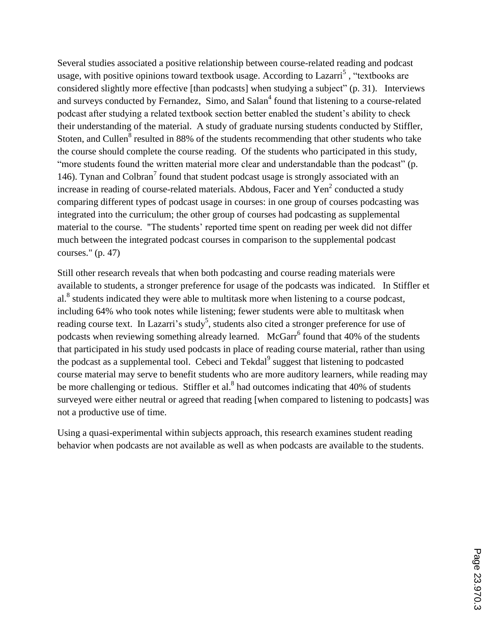Several studies associated a positive relationship between course-related reading and podcast usage, with positive opinions toward textbook usage. According to Lazarri<sup>5</sup>, "textbooks are considered slightly more effective [than podcasts] when studying a subject" (p. 31). Interviews and surveys conducted by Fernandez, Simo, and Salan<sup>4</sup> found that listening to a course-related podcast after studying a related textbook section better enabled the student's ability to check their understanding of the material. A study of graduate nursing students conducted by Stiffler, Stoten, and Cullen<sup>8</sup> resulted in 88% of the students recommending that other students who take the course should complete the course reading. Of the students who participated in this study, "more students found the written material more clear and understandable than the podcast" (p. 146). Tynan and Colbran<sup>7</sup> found that student podcast usage is strongly associated with an increase in reading of course-related materials. Abdous, Facer and  $Yen^2$  conducted a study comparing different types of podcast usage in courses: in one group of courses podcasting was integrated into the curriculum; the other group of courses had podcasting as supplemental material to the course. "The students' reported time spent on reading per week did not differ much between the integrated podcast courses in comparison to the supplemental podcast courses." (p. 47)

Still other research reveals that when both podcasting and course reading materials were available to students, a stronger preference for usage of the podcasts was indicated. In Stiffler et al.<sup>8</sup> students indicated they were able to multitask more when listening to a course podcast, including 64% who took notes while listening; fewer students were able to multitask when reading course text. In Lazarri's study<sup>5</sup>, students also cited a stronger preference for use of podcasts when reviewing something already learned. McGarr<sup>6</sup> found that 40% of the students that participated in his study used podcasts in place of reading course material, rather than using the podcast as a supplemental tool. Cebeci and Tekdal<sup>9</sup> suggest that listening to podcasted course material may serve to benefit students who are more auditory learners, while reading may be more challenging or tedious. Stiffler et al.<sup>8</sup> had outcomes indicating that 40% of students surveyed were either neutral or agreed that reading [when compared to listening to podcasts] was not a productive use of time.

Using a quasi-experimental within subjects approach, this research examines student reading behavior when podcasts are not available as well as when podcasts are available to the students.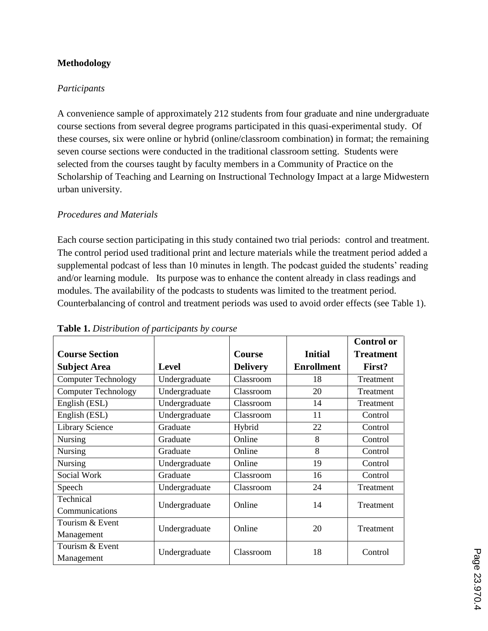# **Methodology**

#### *Participants*

A convenience sample of approximately 212 students from four graduate and nine undergraduate course sections from several degree programs participated in this quasi-experimental study. Of these courses, six were online or hybrid (online/classroom combination) in format; the remaining seven course sections were conducted in the traditional classroom setting. Students were selected from the courses taught by faculty members in a Community of Practice on the Scholarship of Teaching and Learning on Instructional Technology Impact at a large Midwestern urban university.

# *Procedures and Materials*

Each course section participating in this study contained two trial periods: control and treatment. The control period used traditional print and lecture materials while the treatment period added a supplemental podcast of less than 10 minutes in length. The podcast guided the students' reading and/or learning module. Its purpose was to enhance the content already in class readings and modules. The availability of the podcasts to students was limited to the treatment period. Counterbalancing of control and treatment periods was used to avoid order effects (see Table 1).

|                               |               |                 |                   | <b>Control or</b> |
|-------------------------------|---------------|-----------------|-------------------|-------------------|
| <b>Course Section</b>         |               | <b>Course</b>   | <b>Initial</b>    | <b>Treatment</b>  |
| <b>Subject Area</b>           | <b>Level</b>  | <b>Delivery</b> | <b>Enrollment</b> | First?            |
| <b>Computer Technology</b>    | Undergraduate | Classroom       | 18                | Treatment         |
| <b>Computer Technology</b>    | Undergraduate | Classroom       | 20                | Treatment         |
| English (ESL)                 | Undergraduate | Classroom       | 14                | Treatment         |
| English (ESL)                 | Undergraduate | Classroom       | 11                | Control           |
| Library Science               | Graduate      | Hybrid          | 22                | Control           |
| <b>Nursing</b>                | Graduate      | Online          | 8                 | Control           |
| <b>Nursing</b>                | Graduate      | Online          | 8                 | Control           |
| Nursing                       | Undergraduate | Online          | 19                | Control           |
| <b>Social Work</b>            | Graduate      | Classroom       | 16                | Control           |
| Speech                        | Undergraduate | Classroom       | 24                | Treatment         |
| Technical<br>Communications   | Undergraduate | Online          | 14                | Treatment         |
| Tourism & Event<br>Management | Undergraduate | Online          | 20                | Treatment         |
| Tourism & Event<br>Management | Undergraduate | Classroom       | 18                | Control           |

#### **Table 1.** *Distribution of participants by course*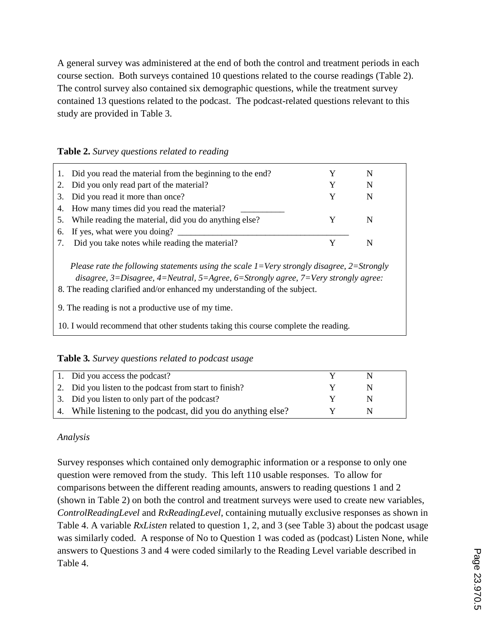A general survey was administered at the end of both the control and treatment periods in each course section. Both surveys contained 10 questions related to the course readings (Table 2). The control survey also contained six demographic questions, while the treatment survey contained 13 questions related to the podcast. The podcast-related questions relevant to this study are provided in Table 3.

| Table 2. Survey questions related to reading |  |  |  |  |
|----------------------------------------------|--|--|--|--|
|----------------------------------------------|--|--|--|--|

| 1. Did you read the material from the beginning to the end? |   |  |
|-------------------------------------------------------------|---|--|
| 2. Did you only read part of the material?                  | N |  |
| 3. Did you read it more than once?                          | N |  |
| 4. How many times did you read the material?                |   |  |
| 5. While reading the material, did you do anything else?    |   |  |
| 6. If yes, what were you doing?                             |   |  |
| Did you take notes while reading the material?              |   |  |

*Please rate the following statements using the scale 1=Very strongly disagree, 2=Strongly disagree, 3=Disagree, 4=Neutral, 5=Agree, 6=Strongly agree, 7=Very strongly agree:*

- 8. The reading clarified and/or enhanced my understanding of the subject.
- 9. The reading is not a productive use of my time.
- 10. I would recommend that other students taking this course complete the reading.

**Table 3***. Survey questions related to podcast usage*

| 1. Did you access the podcast?                               |   |  |
|--------------------------------------------------------------|---|--|
| 2. Did you listen to the podcast from start to finish?       | N |  |
| 3. Did you listen to only part of the podcast?               | N |  |
| 4. While listening to the podcast, did you do anything else? | N |  |

# *Analysis*

Survey responses which contained only demographic information or a response to only one question were removed from the study. This left 110 usable responses. To allow for comparisons between the different reading amounts, answers to reading questions 1 and 2 (shown in Table 2) on both the control and treatment surveys were used to create new variables, *ControlReadingLevel* and *RxReadingLevel*, containing mutually exclusive responses as shown in Table 4. A variable *RxListen* related to question 1, 2, and 3 (see Table 3) about the podcast usage was similarly coded. A response of No to Question 1 was coded as (podcast) Listen None, while answers to Questions 3 and 4 were coded similarly to the Reading Level variable described in Table 4.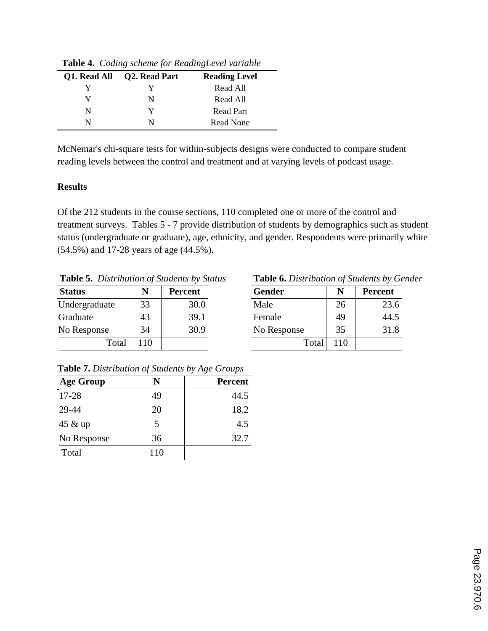| Q1. Read All | <b>Q2. Read Part</b> | <b>Reading Level</b> |
|--------------|----------------------|----------------------|
|              |                      | Read All             |
| V            | N                    | Read All             |
| N            |                      | Read Part            |
| N            |                      | Read None            |

**Table 4.** *Coding scheme for ReadingLevel variable*

McNemar's chi-square tests for within-subjects designs were conducted to compare student reading levels between the control and treatment and at varying levels of podcast usage.

# **Results**

Of the 212 students in the course sections, 110 completed one or more of the control and treatment surveys. Tables 5 - 7 provide distribution of students by demographics such as student status (undergraduate or graduate), age, ethnicity, and gender. Respondents were primarily white (54.5%) and 17-28 years of age (44.5%).

|  | <b>Table 5.</b> Distribution of Students by Status | <b>Table 6.</b> Distribution of Students by Gender |
|--|----------------------------------------------------|----------------------------------------------------|
|--|----------------------------------------------------|----------------------------------------------------|

| <b>Status</b> |    | <b>Percent</b> | <b>Gender</b> | N               | <b>Percent</b> |
|---------------|----|----------------|---------------|-----------------|----------------|
| Undergraduate | 33 | 30.0           | Male          | 26              | 23.6           |
| Graduate      | 43 | 39.1           | Female        | 49              | 44.5           |
| No Response   | 34 | 30.9           | No Response   | 35              | 31.8           |
| Total         | 10 |                | Total         | $\overline{10}$ |                |

| Table 6. Distribution of Students by Gender |  |  |
|---------------------------------------------|--|--|
|                                             |  |  |

| <b>Gender</b> | N   | <b>Percent</b> |
|---------------|-----|----------------|
| Male          | 26  | 23.6           |
| Female        | 49  | 44.5           |
| No Response   | 35  | 31.8           |
| Total         | 110 |                |

**Table 7.** *Distribution of Students by Age Groups*

| <b>Age Group</b> | N   | <b>Percent</b> |
|------------------|-----|----------------|
| $17 - 28$        | 49  | 44.5           |
| 29-44            | 20  | 18.2           |
| 45 & up          | 5   | 4.5            |
| No Response      | 36  | 32.7           |
| Total            | 110 |                |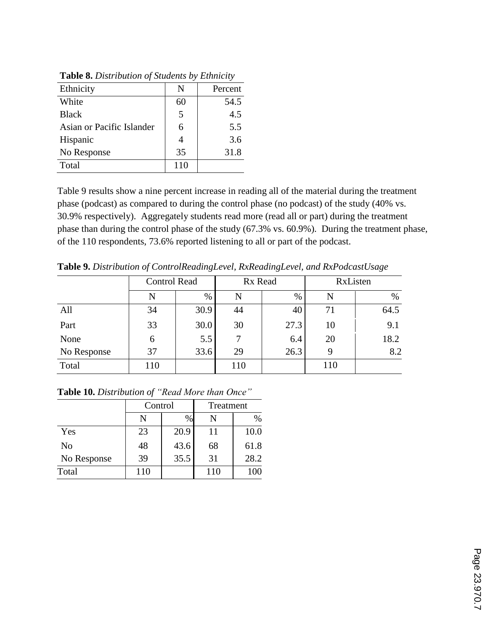| Ethnicity                 | N   | Percent |
|---------------------------|-----|---------|
| White                     | 60  | 54.5    |
| <b>Black</b>              | 5   | 4.5     |
| Asian or Pacific Islander | 6   | 5.5     |
| Hispanic                  |     | 3.6     |
| No Response               | 35  | 31.8    |
| Total                     | 110 |         |

**Table 8.** *Distribution of Students by Ethnicity*

Table 9 results show a nine percent increase in reading all of the material during the treatment phase (podcast) as compared to during the control phase (no podcast) of the study (40% vs. 30.9% respectively). Aggregately students read more (read all or part) during the treatment phase than during the control phase of the study (67.3% vs. 60.9%). During the treatment phase, of the 110 respondents, 73.6% reported listening to all or part of the podcast.

**Table 9.** *Distribution of ControlReadingLevel, RxReadingLevel, and RxPodcastUsage*

|             | <b>Control Read</b> |      | Rx Read |      | RxListen |      |
|-------------|---------------------|------|---------|------|----------|------|
|             | N                   | $\%$ | N       | $\%$ | N        | $\%$ |
| All         | 34                  | 30.9 | 44      | 40   | 71       | 64.5 |
| Part        | 33                  | 30.0 | 30      | 27.3 | 10       | 9.1  |
| None        | 6                   | 5.5  |         | 6.4  | 20       | 18.2 |
| No Response | 37                  | 33.6 | 29      | 26.3 | 9        | 8.2  |
| Total       | 110                 |      | 110     |      | 110      |      |

|             | Control |      | Treatment |      |  |
|-------------|---------|------|-----------|------|--|
|             | N       | $\%$ | N         | $\%$ |  |
| Yes         | 23      | 20.9 | 11        | 10.0 |  |
| No          | 48      | 43.6 | 68        | 61.8 |  |
| No Response | 39      | 35.5 | 31        | 28.2 |  |
| Total       | 110     |      | 110       | 100  |  |

**Table 10.** *Distribution of "Read More than Once"*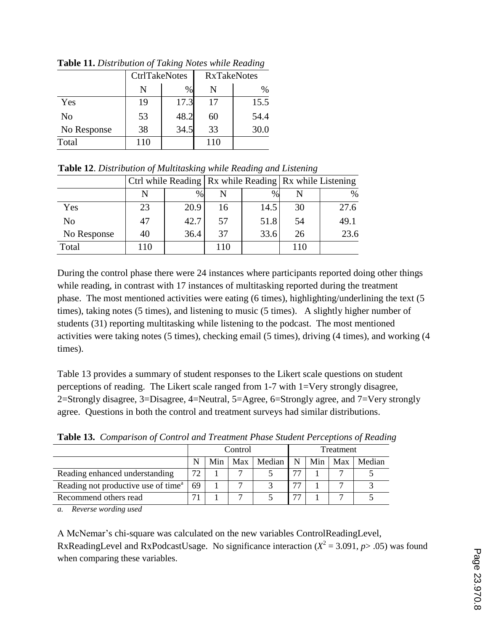|             | <b>CtrlTakeNotes</b> |      | <b>RxTakeNotes</b> |      |  |
|-------------|----------------------|------|--------------------|------|--|
|             | N                    | %    | N                  | $\%$ |  |
| Yes         | 19                   | 17.3 | 17                 | 15.5 |  |
| No          | 53                   | 48.2 | 60                 | 54.4 |  |
| No Response | 38                   | 34.5 | 33                 | 30.0 |  |
| Total       | 110                  |      | 110                |      |  |

**Table 11.** *Distribution of Taking Notes while Reading*

| Table 12. Distribution of Multitasking while Reading and Listening |  |  |
|--------------------------------------------------------------------|--|--|
|                                                                    |  |  |

|                |     |      |     |      | Ctrl while Reading   Rx while Reading   Rx while Listening |      |  |
|----------------|-----|------|-----|------|------------------------------------------------------------|------|--|
|                |     | $\%$ |     | $\%$ |                                                            | $\%$ |  |
| Yes            | 23  | 20.9 | 16  | 14.5 | 30                                                         | 27.6 |  |
| N <sub>o</sub> | 47  | 42.7 | 57  | 51.8 | 54                                                         | 49.1 |  |
| No Response    | 40  | 36.4 | 37  | 33.6 | 26                                                         | 23.6 |  |
| Total          | 110 |      | 110 |      | 110                                                        |      |  |

During the control phase there were 24 instances where participants reported doing other things while reading, in contrast with 17 instances of multitasking reported during the treatment phase. The most mentioned activities were eating (6 times), highlighting/underlining the text (5 times), taking notes (5 times), and listening to music (5 times). A slightly higher number of students (31) reporting multitasking while listening to the podcast. The most mentioned activities were taking notes (5 times), checking email (5 times), driving (4 times), and working (4 times).

Table 13 provides a summary of student responses to the Likert scale questions on student perceptions of reading. The Likert scale ranged from 1-7 with 1=Very strongly disagree, 2=Strongly disagree, 3=Disagree, 4=Neutral, 5=Agree, 6=Strongly agree, and 7=Very strongly agree. Questions in both the control and treatment surveys had similar distributions.

| <b>Those Tel.</b> Comparison of Control and ITeamon's mase bindent I electronic of Iteman |         |     |     |           |                          |     |     |        |
|-------------------------------------------------------------------------------------------|---------|-----|-----|-----------|--------------------------|-----|-----|--------|
|                                                                                           | Control |     |     | Treatment |                          |     |     |        |
|                                                                                           |         | Min | Max | l Median  | N                        | Min | Max | Median |
| Reading enhanced understanding                                                            | 72      |     |     |           | 77                       |     |     |        |
| Reading not productive use of time <sup>a</sup>                                           | 69      |     |     |           | 77                       |     |     |        |
| Recommend others read                                                                     |         |     |     |           | $\overline{\phantom{a}}$ |     |     |        |

**Table 13.** *Comparison of Control and Treatment Phase Student Perceptions of Reading*

*a. Reverse wording used*

A McNemar's chi-square was calculated on the new variables ControlReadingLevel, RxReadingLevel and RxPodcastUsage. No significance interaction  $(X^2 = 3.091, p > .05)$  was found when comparing these variables.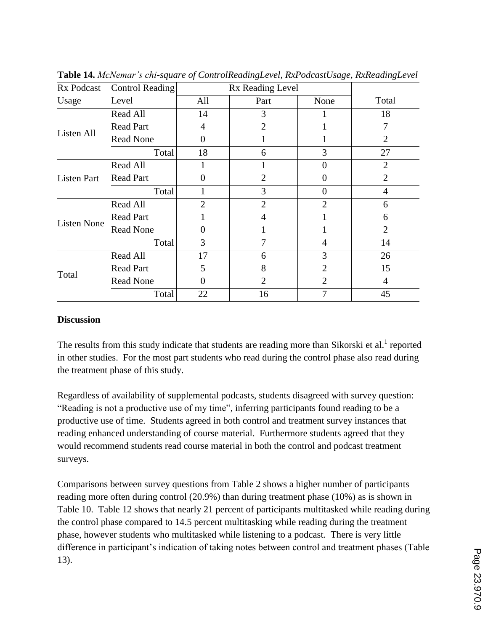| Rx Podcast         | <b>Control Reading</b> | Rx Reading Level |                |                |                |
|--------------------|------------------------|------------------|----------------|----------------|----------------|
| Usage              | Level                  | All              | Part           | None           | Total          |
|                    | Read All               | 14               | 3              |                | 18             |
| Listen All         | <b>Read Part</b>       | 4                | $\overline{2}$ |                |                |
|                    | <b>Read None</b>       | 0                |                |                | 2              |
|                    | Total                  | 18               | 6              | 3              | 27             |
| <b>Listen Part</b> | Read All               |                  |                | 0              | $\overline{2}$ |
|                    | <b>Read Part</b>       |                  | $\overline{2}$ | 0              | 2              |
|                    | Total                  |                  | 3              | 0              | $\overline{4}$ |
| <b>Listen None</b> | Read All               | $\overline{2}$   | $\overline{2}$ | $\overline{2}$ | 6              |
|                    | <b>Read Part</b>       |                  | 4              |                | 6              |
|                    | <b>Read None</b>       | 0                |                |                | 2              |
|                    | Total                  | 3                | 7              | 4              | 14             |
| Total              | Read All               | 17               | 6              | 3              | 26             |
|                    | <b>Read Part</b>       | 5                | 8              | 2              | 15             |
|                    | <b>Read None</b>       | 0                | $\overline{2}$ | 2              | $\overline{4}$ |
|                    | Total                  | 22               | 16             | 7              | 45             |

**Table 14.** *McNemar's chi-square of ControlReadingLevel, RxPodcastUsage, RxReadingLevel*

# **Discussion**

The results from this study indicate that students are reading more than Sikorski et al.<sup>1</sup> reported in other studies. For the most part students who read during the control phase also read during the treatment phase of this study.

Regardless of availability of supplemental podcasts, students disagreed with survey question: "Reading is not a productive use of my time", inferring participants found reading to be a productive use of time. Students agreed in both control and treatment survey instances that reading enhanced understanding of course material. Furthermore students agreed that they would recommend students read course material in both the control and podcast treatment surveys.

Comparisons between survey questions from Table 2 shows a higher number of participants reading more often during control (20.9%) than during treatment phase (10%) as is shown in Table 10. Table 12 shows that nearly 21 percent of participants multitasked while reading during the control phase compared to 14.5 percent multitasking while reading during the treatment phase, however students who multitasked while listening to a podcast. There is very little difference in participant's indication of taking notes between control and treatment phases (Table 13).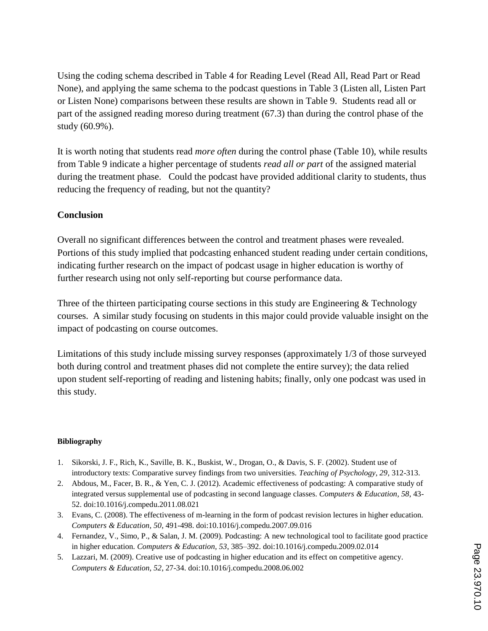Using the coding schema described in Table 4 for Reading Level (Read All, Read Part or Read None), and applying the same schema to the podcast questions in Table 3 (Listen all, Listen Part or Listen None) comparisons between these results are shown in Table 9. Students read all or part of the assigned reading moreso during treatment (67.3) than during the control phase of the study (60.9%).

It is worth noting that students read *more often* during the control phase (Table 10), while results from Table 9 indicate a higher percentage of students *read all or part* of the assigned material during the treatment phase. Could the podcast have provided additional clarity to students, thus reducing the frequency of reading, but not the quantity?

# **Conclusion**

Overall no significant differences between the control and treatment phases were revealed. Portions of this study implied that podcasting enhanced student reading under certain conditions, indicating further research on the impact of podcast usage in higher education is worthy of further research using not only self-reporting but course performance data.

Three of the thirteen participating course sections in this study are Engineering  $\&$  Technology courses. A similar study focusing on students in this major could provide valuable insight on the impact of podcasting on course outcomes.

Limitations of this study include missing survey responses (approximately 1/3 of those surveyed both during control and treatment phases did not complete the entire survey); the data relied upon student self-reporting of reading and listening habits; finally, only one podcast was used in this study.

#### **Bibliography**

- 1. Sikorski, J. F., Rich, K., Saville, B. K., Buskist, W., Drogan, O., & Davis, S. F. (2002). Student use of introductory texts: Comparative survey findings from two universities. *Teaching of Psychology, 29*, 312-313.
- 2. Abdous, M., Facer, B. R., & Yen, C. J. (2012). Academic effectiveness of podcasting: A comparative study of integrated versus supplemental use of podcasting in second language classes. *Computers & Education, 58*, 43- 52. doi:10.1016/j.compedu.2011.08.021
- 3. Evans, C. (2008). The effectiveness of m-learning in the form of podcast revision lectures in higher education. *Computers & Education, 50*, 491-498. doi:10.1016/j.compedu.2007.09.016
- 4. Fernandez, V., Simo, P., & Salan, J. M. (2009). Podcasting: A new technological tool to facilitate good practice in higher education. *Computers & Education, 53*, 385–392. doi:10.1016/j.compedu.2009.02.014
- 5. Lazzari, M. (2009). Creative use of podcasting in higher education and its effect on competitive agency. *Computers & Education, 52*, 27-34. doi:10.1016/j.compedu.2008.06.002